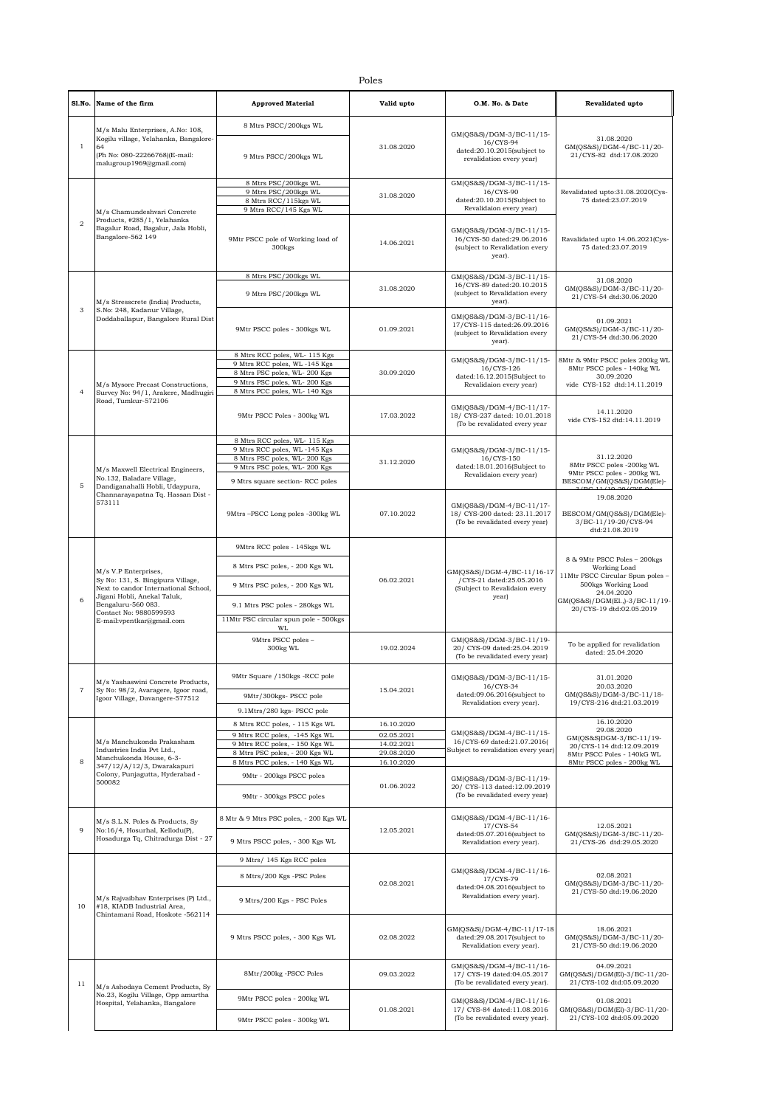|                | Sl.No. Name of the firm                                                                                                                                                                                       | <b>Approved Material</b>                                        | Valid upto               | O.M. No. & Date                                                                                     | Revalidated upto                                                                                                                                                                    |
|----------------|---------------------------------------------------------------------------------------------------------------------------------------------------------------------------------------------------------------|-----------------------------------------------------------------|--------------------------|-----------------------------------------------------------------------------------------------------|-------------------------------------------------------------------------------------------------------------------------------------------------------------------------------------|
| $\mathbf{1}$   |                                                                                                                                                                                                               | 8 Mtrs PSCC/200kgs WL                                           |                          | GM(QS&S)/DGM-3/BC-11/15-<br>16/CYS-94<br>dated:20.10.2015(subject to<br>revalidation every year)    | 31.08.2020<br>GM(QS&S)/DGM-4/BC-11/20-<br>21/CYS-82 dtd:17.08.2020                                                                                                                  |
|                | M/s Malu Enterprises, A.No: 108,<br>Kogilu village, Yelahanka, Bangalore-<br>64<br>(Ph No: 080-22266768)(E-mail:<br>malugroup1969@gmail.com)                                                                  | 9 Mtrs PSCC/200kgs WL                                           | 31.08.2020               |                                                                                                     |                                                                                                                                                                                     |
|                |                                                                                                                                                                                                               | 8 Mtrs PSC/200kgs WL                                            |                          | GM(QS&S)/DGM-3/BC-11/15-<br>16/CYS-90<br>dated:20.10.2015(Subject to<br>Revalidaion every year)     | Revalidated upto:31.08.2020(Cys-<br>75 dated:23.07.2019                                                                                                                             |
|                |                                                                                                                                                                                                               | 9 Mtrs PSC/200kgs WL<br>8 Mtrs RCC/115kgs WL                    | 31.08.2020               |                                                                                                     |                                                                                                                                                                                     |
|                | M/s Chamundeshvari Concrete                                                                                                                                                                                   | 9 Mtrs RCC/145 Kgs WL                                           |                          |                                                                                                     |                                                                                                                                                                                     |
| $\overline{a}$ | Products, #285/1, Yelahanka<br>Bagalur Road, Bagalur, Jala Hobli,<br>Bangalore-562 149                                                                                                                        | 9Mtr PSCC pole of Working load of<br>300 <sub>kgs</sub>         | 14.06.2021               | GM(QS&S)/DGM-3/BC-11/15-<br>16/CYS-50 dated:29.06.2016<br>(subject to Revalidation every<br>year).  | Ravalidated upto 14.06.2021(Cys-<br>75 dated:23.07.2019                                                                                                                             |
|                | M/s Stresscrete (India) Products,<br>S.No: 248, Kadanur Village,<br>Doddaballapur, Bangalore Rural Dist                                                                                                       | 8 Mtrs PSC/200kgs WL                                            |                          | GM(QS&S)/DGM-3/BC-11/15-                                                                            | 31.08.2020                                                                                                                                                                          |
| 3              |                                                                                                                                                                                                               | 9 Mtrs PSC/200kgs WL                                            | 31.08.2020               | 16/CYS-89 dated:20.10.2015<br>(subject to Revalidation every<br>year).                              | GM(QS&S)/DGM-3/BC-11/20-<br>21/CYS-54 dtd:30.06.2020                                                                                                                                |
|                |                                                                                                                                                                                                               | 9Mtr PSCC poles - 300kgs WL                                     | 01.09.2021               | GM(QS&S)/DGM-3/BC-11/16-<br>17/CYS-115 dated:26.09.2016<br>(subject to Revalidation every<br>year). | 01.09.2021<br>GM(QS&S)/DGM-3/BC-11/20-<br>21/CYS-54 dtd:30.06.2020                                                                                                                  |
|                |                                                                                                                                                                                                               | 8 Mtrs RCC poles, WL- 115 Kgs                                   |                          | GM(QS&S)/DGM-3/BC-11/15-<br>16/CYS-126<br>dated:16.12.2015(Subject to<br>Revalidaion every year)    | 8Mtr & 9Mtr PSCC poles 200kg WL                                                                                                                                                     |
|                |                                                                                                                                                                                                               | 9 Mtrs RCC poles, WL-145 Kgs<br>8 Mtrs PSC poles, WL-200 Kgs    | 30.09.2020               |                                                                                                     | 8Mtr PSCC poles - 140kg WL                                                                                                                                                          |
|                | M/s Mysore Precast Constructions.                                                                                                                                                                             | 9 Mtrs PSC poles, WL-200 Kgs                                    |                          |                                                                                                     | 30.09.2020<br>vide CYS-152 dtd:14.11.2019                                                                                                                                           |
| $\overline{4}$ | Survey No: 94/1, Arakere, Madhugiri<br>Road, Tumkur-572106                                                                                                                                                    | 8 Mtrs PCC poles, WL- 140 Kgs                                   |                          |                                                                                                     |                                                                                                                                                                                     |
|                |                                                                                                                                                                                                               | 9Mtr PSCC Poles - 300kg WL                                      | 17.03.2022               | GM(QS&S)/DGM-4/BC-11/17-<br>18/ CYS-237 dated: 10.01.2018<br>(To be revalidated every year          | 14.11.2020<br>vide CYS-152 dtd:14.11.2019                                                                                                                                           |
|                |                                                                                                                                                                                                               | 8 Mtrs RCC poles, WL-115 Kgs                                    |                          |                                                                                                     | 31.12.2020<br>8Mtr PSCC poles -200kg WL<br>9Mtr PSCC poles - 200kg WL                                                                                                               |
|                |                                                                                                                                                                                                               | 9 Mtrs RCC poles, WL-145 Kgs<br>8 Mtrs PSC poles, WL-200 Kgs    |                          | GM(QS&S)/DGM-3/BC-11/15-<br>16/CYS-150<br>dated:18.01.2016(Subject to                               |                                                                                                                                                                                     |
|                | M/s Maxwell Electrical Engineers,                                                                                                                                                                             | 9 Mtrs PSC poles, WL-200 Kgs                                    | 31.12.2020               |                                                                                                     |                                                                                                                                                                                     |
| 5              | No.132, Baladare Village,                                                                                                                                                                                     | 9 Mtrs square section- RCC poles                                |                          | Revalidaion every year)                                                                             | BESCOM/GM(QS&S)/DGM(Ele)-                                                                                                                                                           |
|                | Dandiganahalli Hobli, Udaypura,<br>Channarayapatna Tq. Hassan Dist -                                                                                                                                          |                                                                 |                          |                                                                                                     | 19.08.2020                                                                                                                                                                          |
|                | 573111                                                                                                                                                                                                        | 9Mtrs-PSCC Long poles -300kg WL                                 | 07.10.2022               | GM(QS&S)/DGM-4/BC-11/17-<br>18/ CYS-200 dated: 23.11.2017<br>(To be revalidated every year)         | BESCOM/GM(QS&S)/DGM(Ele)-<br>3/BC-11/19-20/CYS-94<br>dtd:21.08.2019                                                                                                                 |
|                |                                                                                                                                                                                                               | 9Mtrs RCC poles - 145kgs WL                                     |                          | GM(QS&S)/DGM-4/BC-11/16-17<br>/CYS-21 dated:25.05.2016<br>(Subject to Revalidaion every<br>year)    | 8 & 9Mtr PSCC Poles - 200kgs<br>Working Load<br>11Mtr PSCC Circular Spun poles -<br>500kgs Working Load<br>24.04.2020<br>GM(QS&S)/DGM(El.,)-3/BC-11/19-<br>20/CYS-19 dtd:02.05.2019 |
|                | M/s V.P Enterprises,<br>Sy No: 131, S. Bingipura Village,<br>Next to candor International School,<br>Jigani Hobli, Anekal Taluk,<br>Bengaluru-560 083.<br>Contact No: 9880599593<br>E-mail:vpentkar@gmail.com | 8 Mtrs PSC poles, - 200 Kgs WL                                  | 06.02.2021               |                                                                                                     |                                                                                                                                                                                     |
|                |                                                                                                                                                                                                               | 9 Mtrs PSC poles, - 200 Kgs WL                                  |                          |                                                                                                     |                                                                                                                                                                                     |
| 6              |                                                                                                                                                                                                               | 9.1 Mtrs PSC poles - 280kgs WL                                  |                          |                                                                                                     |                                                                                                                                                                                     |
|                |                                                                                                                                                                                                               | 11Mtr PSC circular spun pole - 500kgs                           |                          |                                                                                                     |                                                                                                                                                                                     |
|                |                                                                                                                                                                                                               | WL                                                              |                          |                                                                                                     |                                                                                                                                                                                     |
|                |                                                                                                                                                                                                               | 9Mtrs PSCC poles -<br>300kg WL                                  | 19.02.2024               | GM(QS&S)/DGM-3/BC-11/19-<br>20/ CYS-09 dated:25.04.2019<br>(To be revalidated every year)           | To be applied for revalidation<br>dated: 25.04.2020                                                                                                                                 |
|                |                                                                                                                                                                                                               | 9Mtr Square / 150kgs -RCC pole                                  | 15.04.2021               | GM(QS&S)/DGM-3/BC-11/15-<br>16/CYS-34<br>dated:09.06.2016(subject to<br>Revalidation every year).   | 31.01.2020<br>20.03.2020<br>GM(QS&S)/DGM-3/BC-11/18-<br>19/CYS-216 dtd:21.03.2019                                                                                                   |
| 7              | M/s Yashaswini Concrete Products,<br>Sy No: 98/2, Avaragere, Igoor road,<br>Igoor Village, Davangere-577512                                                                                                   |                                                                 |                          |                                                                                                     |                                                                                                                                                                                     |
|                |                                                                                                                                                                                                               | 9Mtr/300kgs- PSCC pole                                          |                          |                                                                                                     |                                                                                                                                                                                     |
|                |                                                                                                                                                                                                               | 9.1Mtrs/280 kgs- PSCC pole                                      |                          |                                                                                                     |                                                                                                                                                                                     |
|                |                                                                                                                                                                                                               | 8 Mtrs RCC poles, - 115 Kgs WL                                  | 16.10.2020               |                                                                                                     | 16.10.2020<br>29.08.2020                                                                                                                                                            |
|                | M/s Manchukonda Prakasham                                                                                                                                                                                     | 9 Mtrs RCC poles, -145 Kgs WL<br>9 Mtrs RCC poles, - 150 Kgs WL | 02.05.2021<br>14.02.2021 | GM(QS&S)/DGM-4/BC-11/15-<br>16/CYS-69 dated:21.07.2016(<br>Subject to revalidation every year)      | GM(QS&S)DGM-3/BC-11/19-<br>20/CYS-114 dtd:12.09.2019<br>8Mtr PSCC Poles - 140kG WL                                                                                                  |
|                | Industries India Pvt Ltd.,                                                                                                                                                                                    | 8 Mtrs PSC poles, - 200 Kgs WL                                  | 29.08.2020               |                                                                                                     |                                                                                                                                                                                     |
| 8              | Manchukonda House, 6-3-<br>347/12/A/12/3, Dwarakapuri                                                                                                                                                         | 8 Mtrs PCC poles, - 140 Kgs WL                                  | 16.10.2020               |                                                                                                     | 8Mtr PSCC poles - 200kg WL                                                                                                                                                          |
|                | Colony, Punjagutta, Hyderabad -<br>500082                                                                                                                                                                     | 9Mtr - 200kgs PSCC poles                                        |                          | GM(QS&S)/DGM-3/BC-11/19-<br>20/ CYS-113 dated:12.09.2019<br>(To be revalidated every year)          |                                                                                                                                                                                     |
|                |                                                                                                                                                                                                               | 9Mtr - 300kgs PSCC poles                                        | 01.06.2022               |                                                                                                     |                                                                                                                                                                                     |
| 9              | M/s S.L.N. Poles & Products, Sy<br>No:16/4, Hosurhal, Kellodu(P),                                                                                                                                             | 8 Mtr & 9 Mtrs PSC poles, - 200 Kgs WL                          | 12.05.2021               | GM(QS&S)/DGM-4/BC-11/16-<br>17/CYS-54<br>dated:05.07.2016(subject to<br>Revalidation every year).   | 12.05.2021<br>GM(QS&S)/DGM-3/BC-11/20-                                                                                                                                              |
|                | Hosadurga Tq, Chitradurga Dist - 27                                                                                                                                                                           | 9 Mtrs PSCC poles, - 300 Kgs WL                                 |                          |                                                                                                     | 21/CYS-26 dtd:29.05.2020                                                                                                                                                            |
|                |                                                                                                                                                                                                               | 9 Mtrs/ 145 Kgs RCC poles                                       | 02.08.2021               | GM(QS&S)/DGM-4/BC-11/16-<br>17/CYS-79<br>dated:04.08.2016(subject to<br>Revalidation every year).   |                                                                                                                                                                                     |
|                | M/s Rajvaibhav Enterprises (P) Ltd.,<br>#18, KIADB Industrial Area,<br>Chintamani Road, Hoskote -562114                                                                                                       | 8 Mtrs/200 Kgs -PSC Poles                                       |                          |                                                                                                     | 02.08.2021                                                                                                                                                                          |
| 10             |                                                                                                                                                                                                               | 9 Mtrs/200 Kgs - PSC Poles                                      |                          |                                                                                                     | GM(QS&S)/DGM-3/BC-11/20-<br>21/CYS-50 dtd:19.06.2020                                                                                                                                |
|                |                                                                                                                                                                                                               | 9 Mtrs PSCC poles, - 300 Kgs WL                                 | 02.08.2022               | GM(QS&S)/DGM-4/BC-11/17-18<br>dated:29.08.2017(subject to<br>Revalidation every year).              | 18.06.2021<br>GM(QS&S)/DGM-3/BC-11/20-<br>21/CYS-50 dtd:19.06.2020                                                                                                                  |
| 11             | M/s Ashodaya Cement Products, Sy<br>No.23, Kogilu Village, Opp amurtha<br>Hospital, Yelahanka, Bangalore                                                                                                      | 8Mtr/200kg-PSCC Poles                                           | 09.03.2022               | GM(QS&S)/DGM-4/BC-11/16-<br>17/ CYS-19 dated:04.05.2017<br>(To be revalidated every year).          | 04.09.2021<br>GM(QS&S)/DGM(El)-3/BC-11/20-<br>21/CYS-102 dtd:05.09.2020                                                                                                             |
|                |                                                                                                                                                                                                               | 9Mtr PSCC poles - 200kg WL                                      | 01.08.2021               | GM(QS&S)/DGM-4/BC-11/16-                                                                            | 01.08.2021<br>GM(QS&S)/DGM(El)-3/BC-11/20-<br>21/CYS-102 dtd:05.09.2020                                                                                                             |
|                |                                                                                                                                                                                                               |                                                                 |                          | 17/ CYS-84 dated:11.08.2016<br>(To be revalidated every year).                                      |                                                                                                                                                                                     |
|                |                                                                                                                                                                                                               | 9Mtr PSCC poles - 300kg WL                                      |                          |                                                                                                     |                                                                                                                                                                                     |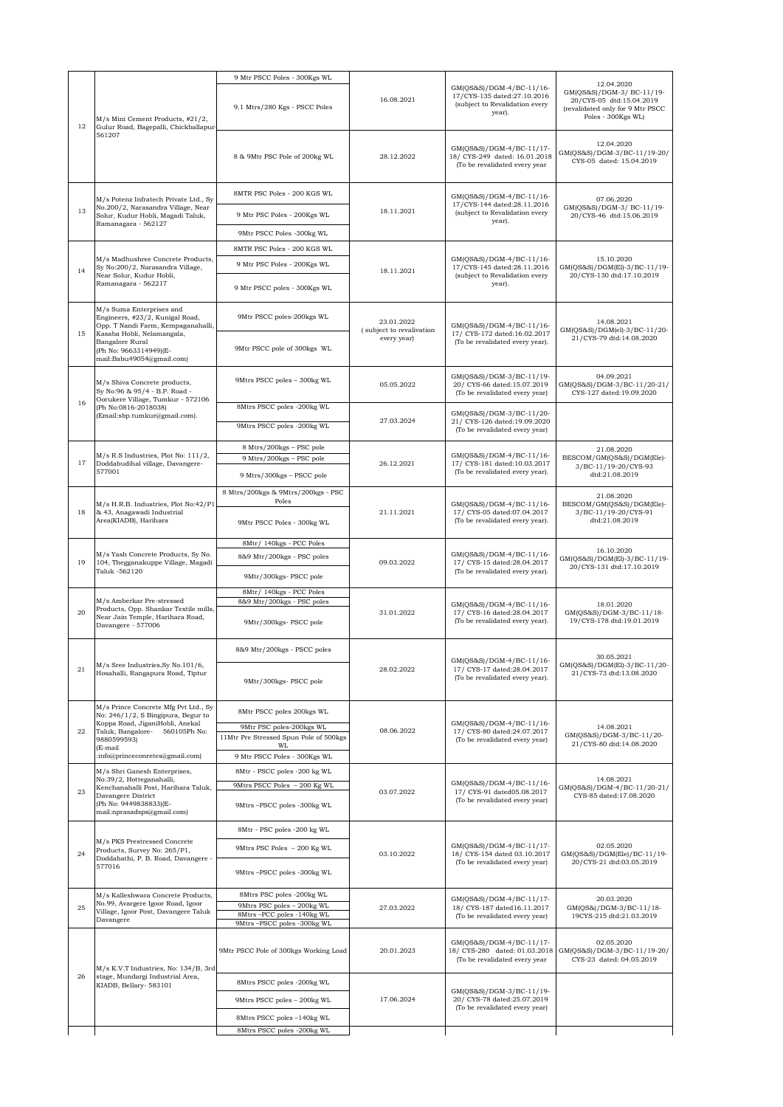|    |                                                                                                                                                                               | 9 Mtr PSCC Poles - 300Kgs WL                                             |                                                       |                                                                                                     |                                                                                                                               |
|----|-------------------------------------------------------------------------------------------------------------------------------------------------------------------------------|--------------------------------------------------------------------------|-------------------------------------------------------|-----------------------------------------------------------------------------------------------------|-------------------------------------------------------------------------------------------------------------------------------|
| 12 | M/s Mini Cement Products, #21/2,<br>Gulur Road, Bagepalli, Chickballapur-<br>561207                                                                                           | 9.1 Mtrs/280 Kgs - PSCC Poles                                            | 16.08.2021                                            | GM(QS&S)/DGM-4/BC-11/16-<br>17/CYS-135 dated:27.10.2016<br>(subject to Revalidation every<br>year). | 12.04.2020<br>GM(QS&S)/DGM-3/ BC-11/19-<br>20/CYS-05 dtd:15.04.2019<br>(revalidated only for 9 Mtr PSCC<br>Poles - 300Kgs WL) |
|    |                                                                                                                                                                               | 8 & 9Mtr PSC Pole of 200kg WL                                            | 28.12.2022                                            | GM(QS&S)/DGM-4/BC-11/17-<br>18/ CYS-249 dated: 16.01.2018<br>(To be revalidated every year          | 12.04.2020<br>GM(QS&S)/DGM-3/BC-11/19-20/<br>CYS-05 dated: 15.04.2019                                                         |
|    | M/s Potenz Infratech Private Ltd., Sy                                                                                                                                         | 8MTR PSC Poles - 200 KGS WL                                              | 18.11.2021                                            | GM(QS&S)/DGM-4/BC-11/16-<br>17/CYS-144 dated:28.11.2016<br>(subject to Revalidation every<br>year). | 07.06.2020<br>GM(QS&S)/DGM-3/ BC-11/19-<br>20/CYS-46 dtd:15.06.2019                                                           |
| 13 | No.200/2, Narasandra Village, Near<br>Solur, Kudur Hobli, Magadi Taluk,<br>Ramanagara - 562127                                                                                | 9 Mtr PSC Poles - 200Kgs WL                                              |                                                       |                                                                                                     |                                                                                                                               |
|    |                                                                                                                                                                               | 9Mtr PSCC Poles -300kg WL                                                |                                                       |                                                                                                     |                                                                                                                               |
| 14 | M/s Madhushree Concrete Products,<br>Sy No:200/2, Narasandra Village,<br>Near Solur, Kudur Hobli,<br>Ramanagara - 562217                                                      | 8MTR PSC Poles - 200 KGS WL                                              | 18.11.2021                                            | GM(QS&S)/DGM-4/BC-11/16-<br>17/CYS-145 dated:28.11.2016<br>(subject to Revalidation every<br>year). |                                                                                                                               |
|    |                                                                                                                                                                               | 9 Mtr PSC Poles - 200Kgs WL                                              |                                                       |                                                                                                     | 15.10.2020<br>GM(QS&S)/DGM(El)-3/BC-11/19-<br>20/CYS-130 dtd:17.10.2019                                                       |
|    |                                                                                                                                                                               | 9 Mtr PSCC poles - 300Kgs WL                                             |                                                       |                                                                                                     |                                                                                                                               |
|    | M/s Suma Enterprises and<br>Engineers, #23/2, Kunigal Road,<br>Opp. T Nandi Farm, Kempaganahalli,                                                                             | 9Mtr PSCC poles-200kgs WL                                                | 23.01.2022<br>(subject to revalivation<br>every year) | GM(QS&S)/DGM-4/BC-11/16-<br>17/ CYS-172 dated:16.02.2017<br>(To be revalidated every year).         | 14.08.2021<br>GM(QS&S)/DGM(el)-3/BC-11/20-<br>21/CYS-79 dtd:14.08.2020                                                        |
| 15 | Kasaba Hobli, Nelamangala,<br>Bangalore Rural<br>(Ph No: 9663314949)(E-<br>mail:Babu49054@gmail.com)                                                                          | 9Mtr PSCC pole of 300kgs WL                                              |                                                       |                                                                                                     |                                                                                                                               |
|    | M/s Shiva Concrete products,<br>Sy No:96 & 95/4 - B.P. Road -<br>Oorukere Village, Tumkur - 572106                                                                            | 9Mtrs PSCC poles - 300kg WL                                              | 05.05.2022                                            | GM(QS&S)/DGM-3/BC-11/19-<br>20/ CYS-66 dated:15.07.2019<br>(To be revalidated every year)           | 04.09.2021<br>GM(QS&S)/DGM-3/BC-11/20-21/<br>CYS-127 dated:19.09.2020                                                         |
| 16 | (Ph No:0816-2018038)<br>(Email:sbp.tumkur@gmail.com).                                                                                                                         | 8Mtrs PSCC poles -200kg WL                                               |                                                       | GM(QS&S)/DGM-3/BC-11/20-                                                                            |                                                                                                                               |
|    |                                                                                                                                                                               | 9Mtrs PSCC poles -200kg WL                                               | 27.03.2024                                            | 21/ CYS-126 dated:19.09.2020<br>(To be revalidated every year)                                      |                                                                                                                               |
|    |                                                                                                                                                                               | 8 Mtrs/200kgs - PSC pole                                                 |                                                       |                                                                                                     | 21.08.2020                                                                                                                    |
| 17 | M/s R.S Industries, Plot No: 111/2,<br>Doddabudihal village, Davangere-                                                                                                       | 9 Mtrs/200kgs - PSC pole                                                 | 26.12.2021                                            | GM(QS&S)/DGM-4/BC-11/16-<br>17/ CYS-181 dated:10.03.2017<br>(To be revalidated every year).         | BESCOM/GM(QS&S)/DGM(Ele)-<br>3/BC-11/19-20/CYS-93<br>dtd:21.08.2019                                                           |
|    | 577001                                                                                                                                                                        | 9 Mtrs/300kgs - PSCC pole                                                |                                                       |                                                                                                     |                                                                                                                               |
|    | M/s H.R.B. Industries, Plot No:42/P1                                                                                                                                          | 8 Mtrs/200kgs & 9Mtrs/200kgs - PSC<br>Poles                              | 21.11.2021                                            | GM(QS&S)/DGM-4/BC-11/16-<br>17/ CYS-05 dated:07.04.2017<br>(To be revalidated every year).          | 21.08.2020<br>BESCOM/GM(QS&S)/DGM(Ele)-<br>3/BC-11/19-20/CYS-91<br>dtd:21.08.2019                                             |
| 18 | & 43, Anagawadi Industrial<br>Area(KIADB), Harihara                                                                                                                           | 9Mtr PSCC Poles - 300kg WL                                               |                                                       |                                                                                                     |                                                                                                                               |
|    |                                                                                                                                                                               | 8Mtr/ 140kgs - PCC Poles                                                 | 09.03.2022                                            | GM(QS&S)/DGM-4/BC-11/16-<br>17/ CYS-15 dated:28.04.2017<br>(To be revalidated every year).          | 16.10.2020                                                                                                                    |
| 19 | M/s Yash Concrete Products, Sy No.<br>104, Thegganakuppe Village, Magadi<br>Taluk -562120                                                                                     | 8&9 Mtr/200kgs - PSC poles                                               |                                                       |                                                                                                     | GM(QS&S)/DGM(El)-3/BC-11/19-<br>20/CYS-131 dtd:17.10.2019                                                                     |
|    |                                                                                                                                                                               | 9Mtr/300kgs- PSCC pole                                                   |                                                       |                                                                                                     |                                                                                                                               |
|    | M/s Amberkar Pre-stressed                                                                                                                                                     | 8Mtr/ 140kgs - PCC Poles<br>8&9 Mtr/200kgs - PSC poles                   | 31.01.2022                                            | GM(QS&S)/DGM-4/BC-11/16-<br>17/ CYS-16 dated:28.04.2017<br>(To be revalidated every year).          | 18.01.2020<br>GM(QS&S)/DGM-3/BC-11/18-<br>19/CYS-178 dtd:19.01.2019                                                           |
| 20 | Products, Opp. Shankar Textile mills,<br>Near Jain Temple, Harihara Road,<br>Davangere - 577006                                                                               | 9Mtr/300kgs- PSCC pole                                                   |                                                       |                                                                                                     |                                                                                                                               |
|    | M/s Sree Industries, Sy No. 101/6,<br>Hosahalli, Rangapura Road, Tiptur                                                                                                       | 8&9 Mtr/200kgs - PSCC poles                                              | 28.02.2022                                            | GM(QS&S)/DGM-4/BC-11/16-<br>17/ CYS-17 dated:28.04.2017<br>(To be revalidated every year).          | 30.05.2021<br>GM(QS&S)/DGM(El)-3/BC-11/20-<br>21/CYS-73 dtd:13.08.2020                                                        |
| 21 |                                                                                                                                                                               | 9Mtr/300kgs- PSCC pole                                                   |                                                       |                                                                                                     |                                                                                                                               |
|    | M/s Prince Concrete Mfg Pvt Ltd., Sy<br>No: 246/1/2, S Bingipura, Begur to                                                                                                    | 8Mtr PSCC poles 200kgs WL                                                | 08.06.2022                                            | GM(QS&S)/DGM-4/BC-11/16-<br>17/ CYS-80 dated:24.07.2017<br>(To be revalidated every year)           | 14.08.2021<br>GM(QS&S)/DGM-3/BC-11/20-<br>21/CYS-80 dtd:14.08.2020                                                            |
| 22 | Koppa Road, JiganiHobli, Anekal<br>Taluk, Bangalore-<br>560105Ph No:<br>9880599593)<br>(E-mail<br>:info@princeconretes@gmail.com)                                             | 9Mtr PSC poles-200kgs WL<br>11Mtr Pre Stressed Spun Pole of 500kgs<br>WL |                                                       |                                                                                                     |                                                                                                                               |
|    |                                                                                                                                                                               | 9 Mtr PSCC Poles - 300Kgs WL                                             |                                                       |                                                                                                     |                                                                                                                               |
|    | M/s Shri Ganesh Enterprises,<br>No:39/2, Hotteganahalli,<br>Kenchanahalli Post, Harihara Taluk,<br>Davangere District<br>(Ph No: 9449838833)(E-<br>mail:nprasadsps@gmail.com) | 8Mtr - PSCC poles -200 kg WL                                             | 03.07.2022                                            |                                                                                                     |                                                                                                                               |
| 23 |                                                                                                                                                                               | 9Mtrs PSCC Poles - 200 Kg WL                                             |                                                       | GM(QS&S)/DGM-4/BC-11/16-<br>17/ CYS-91 dated05.08.2017<br>(To be revalidated every year)            | 14.08.2021<br>GM(QS&S)/DGM-4/BC-11/20-21/<br>CYS-85 dated:17.08.2020                                                          |
|    |                                                                                                                                                                               | 9Mtrs-PSCC poles -300kg WL                                               |                                                       |                                                                                                     |                                                                                                                               |
|    | M/s PKS Prestressed Concrete<br>Products, Survey No: 265/P1,<br>Doddabathi, P. B. Road, Davangere -<br>577016                                                                 | 8Mtr - PSC poles -200 kg WL                                              |                                                       |                                                                                                     |                                                                                                                               |
| 24 |                                                                                                                                                                               | 9Mtrs PSC Poles - 200 Kg WL                                              | 03.10.2022                                            | GM(QS&S)/DGM-4/BC-11/17-<br>18/ CYS-154 dated 03.10.2017<br>(To be revalidated every year)          | 02.05.2020<br>GM(QS&S)/DGM(Ele)/BC-11/19-                                                                                     |
|    |                                                                                                                                                                               | 9Mtrs-PSCC poles -300kg WL                                               |                                                       |                                                                                                     | 20/CYS-21 dtd:03.05.2019                                                                                                      |
|    | M/s Kalleshwara Concrete Products,<br>No.99, Avargere Igoor Road, Igoor<br>Village, Igoor Post, Davangere Taluk<br>Davangere                                                  | 8Mtrs PSC poles -200kg WL                                                | 27.03.2022                                            | GM(QS&S)/DGM-4/BC-11/17-<br>18/ CYS-187 dated16.11.2017<br>(To be revalidated every year)           | 20.03.2020                                                                                                                    |
| 25 |                                                                                                                                                                               | 9Mtrs PSC poles - 200kg WL<br>8Mtrs-PCC poles -140kg WL                  |                                                       |                                                                                                     | GM(QS&)/DGM-3/BC-11/18-<br>19CYS-215 dtd:21.03.2019                                                                           |
|    |                                                                                                                                                                               | 9Mtrs-PSCC poles -300kg WL                                               |                                                       |                                                                                                     |                                                                                                                               |
|    | M/s K.V.T Industries, No: 134/B, 3rd<br>stage, Mundargi Industrial Area,<br>KIADB, Bellary- 583101                                                                            | 9Mtr PSCC Pole of 300kgs Working Load                                    | 20.01.2023                                            | GM(QS&S)/DGM-4/BC-11/17-<br>18/ CYS-280 dated: 01.03.2018<br>(To be revalidated every year          | 02.05.2020<br>GM(QS&S)/DGM-3/BC-11/19-20/<br>CYS-23 dated: 04.05.2019                                                         |
| 26 |                                                                                                                                                                               | 8Mtrs PSCC poles -200kg WL                                               | 17.06.2024                                            | GM(QS&S)/DGM-3/BC-11/19-<br>20/ CYS-78 dated:25.07.2019<br>(To be revalidated every year)           |                                                                                                                               |
|    |                                                                                                                                                                               | 9Mtrs PSCC poles - 200kg WL                                              |                                                       |                                                                                                     |                                                                                                                               |
|    |                                                                                                                                                                               | 8Mtrs PSCC poles -140kg WL                                               |                                                       |                                                                                                     |                                                                                                                               |
|    |                                                                                                                                                                               | 8Mtrs PSCC poles -200kg WL                                               |                                                       |                                                                                                     |                                                                                                                               |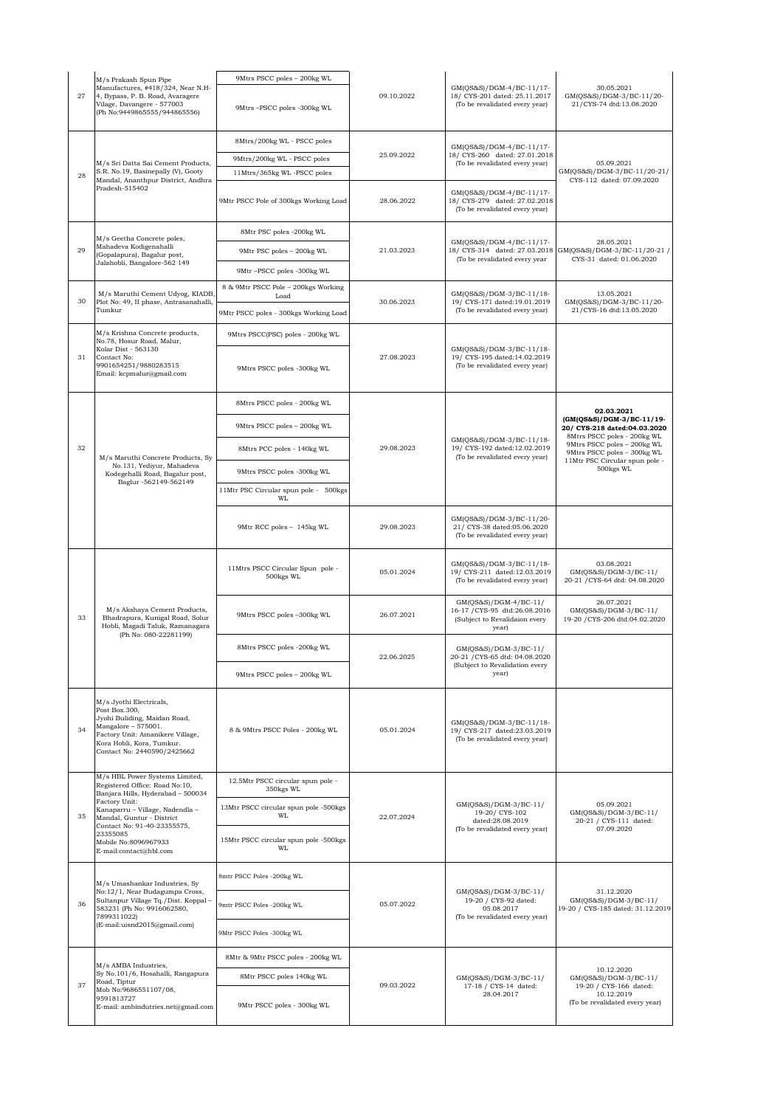|    | M/s Prakash Spun Pipe<br>Manufactures, #418/324, Near N.H-<br>4, Bypass, P. B. Road, Avaragere<br>Vilage, Davangere - 577003<br>(Ph No:9449865555/944865556)                                                                                                                        | 9Mtrs PSCC poles - 200kg WL                                    | 09.10.2022 | GM(QS&S)/DGM-4/BC-11/17-<br>18/ CYS-201 dated: 25.11.2017<br>(To be revalidated every year)        | 30.05.2021<br>GM(QS&S)/DGM-3/BC-11/20-<br>21/CYS-74 dtd:13.08.2020                                            |
|----|-------------------------------------------------------------------------------------------------------------------------------------------------------------------------------------------------------------------------------------------------------------------------------------|----------------------------------------------------------------|------------|----------------------------------------------------------------------------------------------------|---------------------------------------------------------------------------------------------------------------|
| 27 |                                                                                                                                                                                                                                                                                     | 9Mtrs-PSCC poles -300kg WL                                     |            |                                                                                                    |                                                                                                               |
|    | M/s Sri Datta Sai Cement Products,<br>S.R. No.19, Basinepally (V), Gooty<br>Mandal, Ananthpur District, Andhra<br>Pradesh-515402                                                                                                                                                    | 8Mtrs/200kg WL - PSCC poles                                    | 25.09.2022 | GM(QS&S)/DGM-4/BC-11/17-<br>18/ CYS-260 dated: 27.01.2018<br>(To be revalidated every year)        |                                                                                                               |
|    |                                                                                                                                                                                                                                                                                     | 9Mtrs/200kg WL - PSCC poles                                    |            |                                                                                                    | 05.09.2021<br>GM(QS&S)/DGM-3/BC-11/20-21/<br>CYS-112 dated: 07.09.2020                                        |
| 28 |                                                                                                                                                                                                                                                                                     | 11Mtrs/365kg WL-PSCC poles                                     |            |                                                                                                    |                                                                                                               |
|    |                                                                                                                                                                                                                                                                                     | 9Mtr PSCC Pole of 300kgs Working Load                          | 28.06.2022 | GM(QS&S)/DGM-4/BC-11/17-<br>18/ CYS-279 dated: 27.02.2018<br>(To be revalidated every year)        |                                                                                                               |
|    | M/s Geetha Concrete poles,<br>Mahadeva Kodigenahalli<br>(Gopalapura), Bagalur post,<br>Jalahobli, Bangalore-562 149                                                                                                                                                                 | 8Mtr PSC poles -200kg WL                                       | 21.03.2023 | GM(QS&S)/DGM-4/BC-11/17-<br>18/ CYS-314 dated: 27.03.2018<br>(To be revalidated every year         |                                                                                                               |
| 29 |                                                                                                                                                                                                                                                                                     | 9Mtr PSC poles - 200kg WL                                      |            |                                                                                                    | 28.05.2021<br>GM(QS&S)/DGM-3/BC-11/20-21 /                                                                    |
|    |                                                                                                                                                                                                                                                                                     | 9Mtr-PSCC poles -300kg WL                                      |            |                                                                                                    | CYS-31 dated: 01.06.2020                                                                                      |
|    | M/s Maruthi Cement Udyog, KIADB<br>Plot No: 49, II phase, Antrasanahalli,<br>Tumkur                                                                                                                                                                                                 | 8 & 9Mtr PSCC Pole - 200kgs Working                            | 30.06.2023 | GM(QS&S)/DGM-3/BC-11/18-<br>19/ CYS-171 dated:19.01.2019<br>(To be revalidated every year)         | 13.05.2021                                                                                                    |
| 30 |                                                                                                                                                                                                                                                                                     | Load<br>9Mtr PSCC poles - 300kgs Working Load                  |            |                                                                                                    | GM(QS&S)/DGM-3/BC-11/20-<br>21/CYS-16 dtd:13.05.2020                                                          |
|    | M/s Krishna Concrete products,                                                                                                                                                                                                                                                      |                                                                |            |                                                                                                    |                                                                                                               |
| 31 | No.78, Hosur Road, Malur,<br>Kolar Dist - 563130<br>Contact No:<br>9901654251/9880283515<br>Email: kcpmalur@gmail.com                                                                                                                                                               | 9Mtrs PSCC(PSC) poles - 200kg WL<br>9Mtrs PSCC poles -300kg WL | 27.08.2023 | GM(QS&S)/DGM-3/BC-11/18-<br>19/ CYS-195 dated:14.02.2019<br>(To be revalidated every year)         |                                                                                                               |
|    |                                                                                                                                                                                                                                                                                     | 8Mtrs PSCC poles - 200kg WL                                    |            |                                                                                                    |                                                                                                               |
|    |                                                                                                                                                                                                                                                                                     |                                                                |            |                                                                                                    | 02.03.2021<br>(GM(QS&S)/DGM-3/BC-11/19-                                                                       |
|    |                                                                                                                                                                                                                                                                                     | 9Mtrs PSCC poles - 200kg WL                                    |            | GM(QS&S)/DGM-3/BC-11/18-                                                                           | 20/ CYS-218 dated:04.03.2020<br>8Mtrs PSCC poles - 200kg WL<br>9Mtrs PSCC poles - 200kg WL                    |
| 32 | M/s Maruthi Concrete Products, Sy                                                                                                                                                                                                                                                   | 8Mtrs PCC poles - 140kg WL                                     | 29.08.2023 | 19/ CYS-192 dated:12.02.2019<br>(To be revalidated every year)                                     | 9Mtrs PSCC poles - 300kg WL<br>11Mtr PSC Circular spun pole -                                                 |
|    | No.131, Yediyur, Mahadeva<br>Kodegehalli Road, Bagalur post,<br>Baglur -562149-562149                                                                                                                                                                                               | 9Mtrs PSCC poles -300kg WL                                     |            |                                                                                                    | 500kgs WL                                                                                                     |
|    |                                                                                                                                                                                                                                                                                     | 11Mtr PSC Circular spun pole - 500kgs<br>WL                    |            |                                                                                                    |                                                                                                               |
|    |                                                                                                                                                                                                                                                                                     | 9Mtr RCC poles - 145kg WL                                      | 29.08.2023 | GM(QS&S)/DGM-3/BC-11/20-<br>21/ CYS-38 dated:05.06.2020<br>(To be revalidated every year)          |                                                                                                               |
|    | M/s Akshaya Cement Products,<br>Bhadrapura, Kunigal Road, Solur<br>Hobli, Magadi Taluk, Ramanagara<br>(Ph No: 080-22281199)                                                                                                                                                         | 11Mtrs PSCC Circular Spun pole -<br>500kgs WL                  | 05.01.2024 | GM(QS&S)/DGM-3/BC-11/18-<br>19/ CYS-211 dated:12.03.2019<br>(To be revalidated every year)         | 03.08.2021<br>GM(QS&S)/DGM-3/BC-11/<br>20-21 / CYS-64 dtd: 04.08.2020                                         |
| 33 |                                                                                                                                                                                                                                                                                     | 9Mtrs PSCC poles -300kg WL                                     | 26.07.2021 | GM(QS&S)/DGM-4/BC-11/<br>16-17 / CYS-95 dtd:26.08.2016<br>(Subject to Revalidaion every<br>year)   | 26.07.2021<br>GM(QS&S)/DGM-3/BC-11/<br>19-20 / CYS-206 dtd:04.02.2020                                         |
|    |                                                                                                                                                                                                                                                                                     | 8Mtrs PSCC poles -200kg WL                                     | 22.06.2025 | GM(QS&S)/DGM-3/BC-11/<br>20-21 / CYS-65 dtd: 04.08.2020<br>(Subject to Revalidation every<br>year) |                                                                                                               |
|    |                                                                                                                                                                                                                                                                                     | 9Mtrs PSCC poles - 200kg WL                                    |            |                                                                                                    |                                                                                                               |
| 34 | M/s Jyothi Electricals,<br>Post Box.300,<br>Jyohi Buliding, Maidan Road,<br>Mangalore - 575001.<br>Factory Unit: Amanikere Village,<br>Kora Hobli, Kora, Tumkur.<br>Contact No: 2440590/2425662                                                                                     | 8 & 9Mtrs PSCC Poles - 200kg WL                                | 05.01.2024 | GM(QS&S)/DGM-3/BC-11/18-<br>19/ CYS-217 dated:23.03.2019<br>(To be revalidated every year)         |                                                                                                               |
|    | M/s HBL Power Systems Limited,<br>Registered Office: Road No:10,<br>Banjara Hills, Hyderabad - 500034<br>Factory Unit:<br>Kanaparru - Village, Nadendla -<br>Mandal, Guntur - District<br>Contact No: 91-40-23355575,<br>23355085<br>Mobile No:8096967933<br>E-mail:contact@hbl.com | 12.5Mtr PSCC circular spun pole -<br>350kgs WL                 | 22.07.2024 | GM(QS&S)/DGM-3/BC-11/<br>19-20/ CYS-102<br>dated:28.08.2019<br>(To be revalidated every year)      |                                                                                                               |
| 35 |                                                                                                                                                                                                                                                                                     | 13Mtr PSCC circular spun pole -500kgs<br>WI.                   |            |                                                                                                    | 05.09.2021<br>GM(QS&S)/DGM-3/BC-11/<br>20-21 / CYS-111 dated:<br>07.09.2020                                   |
|    |                                                                                                                                                                                                                                                                                     | 15Mtr PSCC circular spun pole -500kgs<br>WL                    |            |                                                                                                    |                                                                                                               |
| 36 | M/s Umashankar Industries, Sy<br>No:12/1, Near Budagumpa Cross,<br>Sultanpur Village Tq./Dist. Koppal -<br>583231 (Ph No: 9916062580,<br>7899311022)<br>(E-mail:uisnd2015@gmail.com)                                                                                                | 8mtr PSCC Poles -200kg WL                                      | 05.07.2022 | GM(QS&S)/DGM-3/BC-11/<br>19-20 / CYS-92 dated:<br>05.08.2017<br>(To be revalidated every year)     | 31.12.2020<br>GM(QS&S)/DGM-3/BC-11/<br>19-20 / CYS-185 dated: 31.12.2019                                      |
|    |                                                                                                                                                                                                                                                                                     | 9mtr PSCC Poles -200kg WL                                      |            |                                                                                                    |                                                                                                               |
|    |                                                                                                                                                                                                                                                                                     | 9Mtr PSCC Poles -300kg WL                                      |            |                                                                                                    |                                                                                                               |
| 37 | M/s AMBA Industries,<br>Sy No.101/6, Hosahalli, Rangapura<br>Road, Tiptur<br>Mob No:9686551107/08,<br>9591813727<br>E-mail: ambindutries.net@gmail.com                                                                                                                              | 8Mtr & 9Mtr PSCC poles - 200kg WL                              |            |                                                                                                    | 10.12.2020<br>GM(QS&S)/DGM-3/BC-11/<br>19-20 / CYS-166 dated:<br>10.12.2019<br>(To be revalidated every year) |
|    |                                                                                                                                                                                                                                                                                     | 8Mtr PSCC poles 140kg WL                                       | 09.03.2022 | GM(QS&S)/DGM-3/BC-11/<br>17-18 / CYS-14 dated:                                                     |                                                                                                               |
|    |                                                                                                                                                                                                                                                                                     | 9Mtr PSCC poles - 300kg WL                                     |            | 28.04.2017                                                                                         |                                                                                                               |